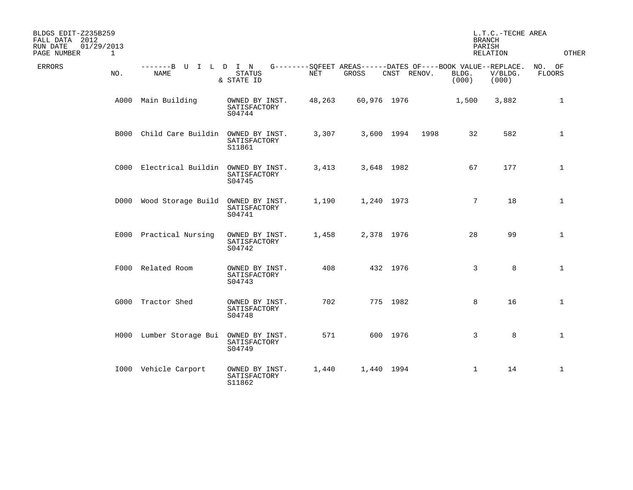| BLDGS EDIT-Z235B259<br>FALL DATA 2012<br>01/29/2013<br>RUN DATE<br>PAGE NUMBER | $\mathbf{1}$ |                                        |                                          |        |                                                                      |             |      | <b>BRANCH</b><br>PARISH | L.T.C.-TECHE AREA<br>RELATION | <b>OTHER</b>            |
|--------------------------------------------------------------------------------|--------------|----------------------------------------|------------------------------------------|--------|----------------------------------------------------------------------|-------------|------|-------------------------|-------------------------------|-------------------------|
| <b>ERRORS</b>                                                                  | NO.          | -------B U I L D I N<br>NAME           | <b>STATUS</b><br>& STATE ID              | NET    | G--------SQFEET AREAS------DATES OF----BOOK VALUE--REPLACE.<br>GROSS | CNST RENOV. |      | BLDG.<br>(000)          | V/BLDG.<br>(000)              | NO. OF<br><b>FLOORS</b> |
|                                                                                | A000         | Main Building                          | OWNED BY INST.<br>SATISFACTORY<br>S04744 | 48,263 | 60,976 1976                                                          |             |      | 1,500                   | 3,882                         | 1                       |
|                                                                                | B000         | Child Care Buildin OWNED BY INST.      | SATISFACTORY<br>S11861                   | 3,307  | 3,600 1994                                                           |             | 1998 | 32                      | 582                           | $\mathbf{1}$            |
|                                                                                |              | C000 Electrical Buildin OWNED BY INST. | SATISFACTORY<br>S04745                   | 3,413  | 3,648 1982                                                           |             |      | 67                      | 177                           | $\mathbf{1}$            |
|                                                                                |              | D000 Wood Storage Build                | OWNED BY INST.<br>SATISFACTORY<br>S04741 | 1,190  | 1,240 1973                                                           |             |      | 7                       | 18                            | $\mathbf{1}$            |
|                                                                                |              | E000 Practical Nursing                 | OWNED BY INST.<br>SATISFACTORY<br>S04742 | 1,458  | 2,378 1976                                                           |             |      | 28                      | 99                            | $\mathbf{1}$            |
|                                                                                |              | F000 Related Room                      | OWNED BY INST.<br>SATISFACTORY<br>S04743 | 408    |                                                                      | 432 1976    |      | 3                       | 8                             | $\mathbf{1}$            |
|                                                                                |              | G000 Tractor Shed                      | OWNED BY INST.<br>SATISFACTORY<br>S04748 | 702    |                                                                      | 775 1982    |      | 8                       | 16                            | $\mathbf{1}$            |
|                                                                                |              | H000 Lumber Storage Bui                | OWNED BY INST.<br>SATISFACTORY<br>S04749 | 571    |                                                                      | 600 1976    |      | 3                       | 8                             | $\mathbf{1}$            |
|                                                                                |              | 1000 Vehicle Carport                   | OWNED BY INST.<br>SATISFACTORY<br>S11862 | 1,440  | 1,440 1994                                                           |             |      | $\mathbf{1}$            | 14                            | $\mathbf{1}$            |